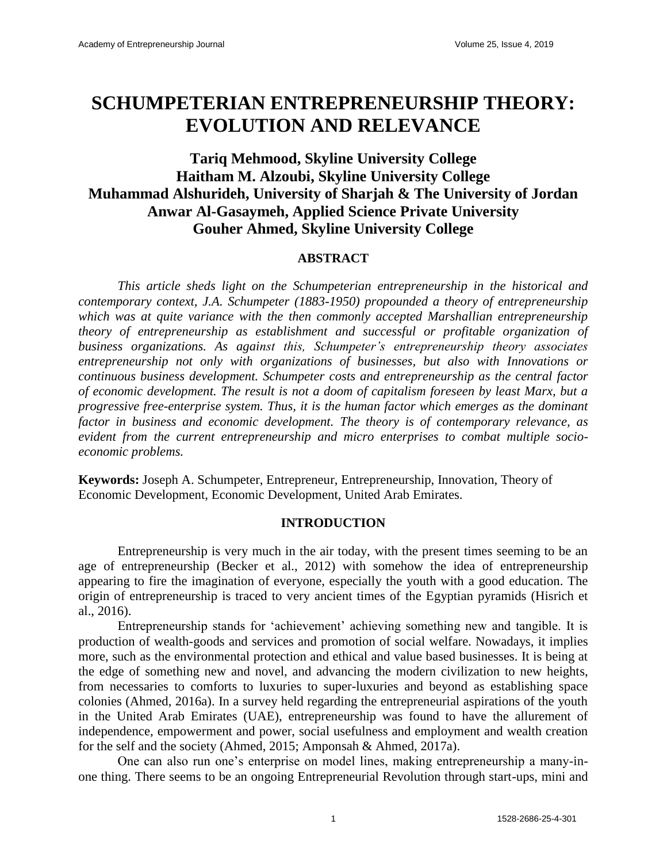# **SCHUMPETERIAN ENTREPRENEURSHIP THEORY: EVOLUTION AND RELEVANCE**

# **Tariq Mehmood, Skyline University College Haitham M. Alzoubi, Skyline University College Muhammad Alshurideh, University of Sharjah & The University of Jordan Anwar Al-Gasaymeh, Applied Science Private University Gouher Ahmed, Skyline University College**

# **ABSTRACT**

*This article sheds light on the Schumpeterian entrepreneurship in the historical and contemporary context, J.A. Schumpeter (1883-1950) propounded a theory of entrepreneurship which was at quite variance with the then commonly accepted Marshallian entrepreneurship theory of entrepreneurship as establishment and successful or profitable organization of business organizations. As against this, Schumpeter's entrepreneurship theory associates entrepreneurship not only with organizations of businesses, but also with Innovations or continuous business development. Schumpeter costs and entrepreneurship as the central factor of economic development. The result is not a doom of capitalism foreseen by least Marx, but a progressive free-enterprise system. Thus, it is the human factor which emerges as the dominant factor in business and economic development. The theory is of contemporary relevance, as evident from the current entrepreneurship and micro enterprises to combat multiple socioeconomic problems.*

**Keywords:** Joseph A. Schumpeter, Entrepreneur, Entrepreneurship, Innovation, Theory of Economic Development, Economic Development, United Arab Emirates.

#### **INTRODUCTION**

Entrepreneurship is very much in the air today, with the present times seeming to be an age of entrepreneurship (Becker et al., 2012) with somehow the idea of entrepreneurship appearing to fire the imagination of everyone, especially the youth with a good education. The origin of entrepreneurship is traced to very ancient times of the Egyptian pyramids (Hisrich et al., 2016).

Entrepreneurship stands for 'achievement' achieving something new and tangible. It is production of wealth-goods and services and promotion of social welfare. Nowadays, it implies more, such as the environmental protection and ethical and value based businesses. It is being at the edge of something new and novel, and advancing the modern civilization to new heights, from necessaries to comforts to luxuries to super-luxuries and beyond as establishing space colonies (Ahmed, 2016a). In a survey held regarding the entrepreneurial aspirations of the youth in the United Arab Emirates (UAE), entrepreneurship was found to have the allurement of independence, empowerment and power, social usefulness and employment and wealth creation for the self and the society (Ahmed, 2015; Amponsah & Ahmed, 2017a).

One can also run one's enterprise on model lines, making entrepreneurship a many-inone thing. There seems to be an ongoing Entrepreneurial Revolution through start-ups, mini and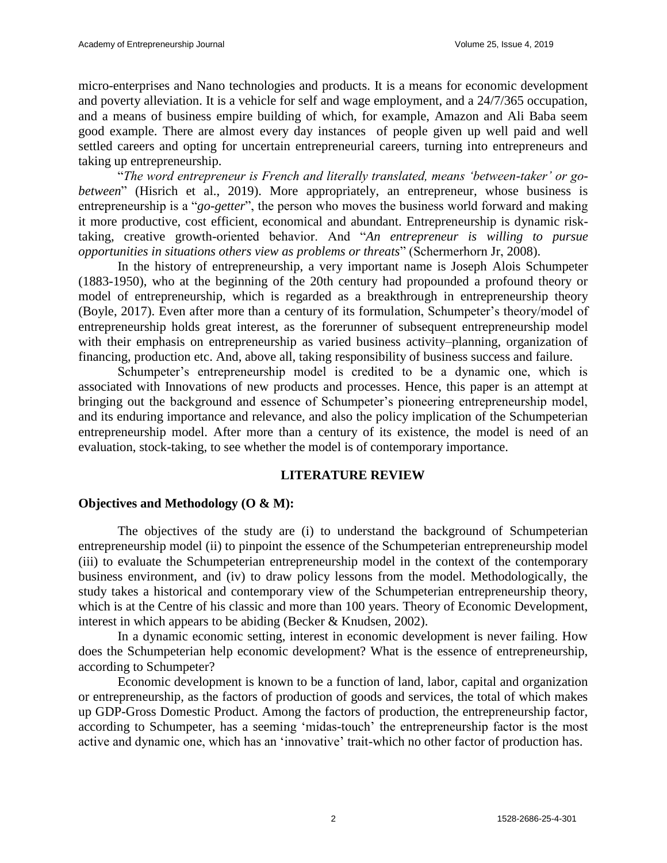micro-enterprises and Nano technologies and products. It is a means for economic development and poverty alleviation. It is a vehicle for self and wage employment, and a 24/7/365 occupation, and a means of business empire building of which, for example, Amazon and Ali Baba seem good example. There are almost every day instances of people given up well paid and well settled careers and opting for uncertain entrepreneurial careers, turning into entrepreneurs and taking up entrepreneurship.

"*The word entrepreneur is French and literally translated, means 'between-taker' or gobetween*" (Hisrich et al., 2019). More appropriately, an entrepreneur, whose business is entrepreneurship is a "*go-getter*", the person who moves the business world forward and making it more productive, cost efficient, economical and abundant. Entrepreneurship is dynamic risktaking, creative growth-oriented behavior. And "*An entrepreneur is willing to pursue opportunities in situations others view as problems or threats*" (Schermerhorn Jr, 2008).

In the history of entrepreneurship, a very important name is Joseph Alois Schumpeter (1883-1950), who at the beginning of the 20th century had propounded a profound theory or model of entrepreneurship, which is regarded as a breakthrough in entrepreneurship theory (Boyle, 2017). Even after more than a century of its formulation, Schumpeter's theory/model of entrepreneurship holds great interest, as the forerunner of subsequent entrepreneurship model with their emphasis on entrepreneurship as varied business activity–planning, organization of financing, production etc. And, above all, taking responsibility of business success and failure.

Schumpeter's entrepreneurship model is credited to be a dynamic one, which is associated with Innovations of new products and processes. Hence, this paper is an attempt at bringing out the background and essence of Schumpeter's pioneering entrepreneurship model, and its enduring importance and relevance, and also the policy implication of the Schumpeterian entrepreneurship model. After more than a century of its existence, the model is need of an evaluation, stock-taking, to see whether the model is of contemporary importance.

# **LITERATURE REVIEW**

# **Objectives and Methodology (O & M):**

The objectives of the study are (i) to understand the background of Schumpeterian entrepreneurship model (ii) to pinpoint the essence of the Schumpeterian entrepreneurship model (iii) to evaluate the Schumpeterian entrepreneurship model in the context of the contemporary business environment, and (iv) to draw policy lessons from the model. Methodologically, the study takes a historical and contemporary view of the Schumpeterian entrepreneurship theory, which is at the Centre of his classic and more than 100 years. Theory of Economic Development, interest in which appears to be abiding (Becker & Knudsen, 2002).

In a dynamic economic setting, interest in economic development is never failing. How does the Schumpeterian help economic development? What is the essence of entrepreneurship, according to Schumpeter?

Economic development is known to be a function of land, labor, capital and organization or entrepreneurship, as the factors of production of goods and services, the total of which makes up GDP-Gross Domestic Product. Among the factors of production, the entrepreneurship factor, according to Schumpeter, has a seeming 'midas-touch' the entrepreneurship factor is the most active and dynamic one, which has an 'innovative' trait-which no other factor of production has.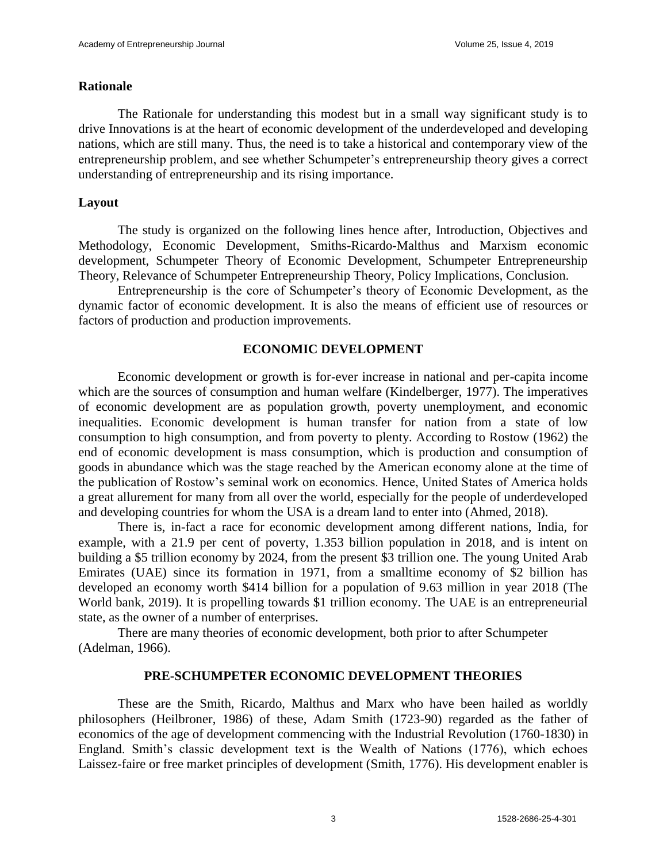#### **Rationale**

The Rationale for understanding this modest but in a small way significant study is to drive Innovations is at the heart of economic development of the underdeveloped and developing nations, which are still many. Thus, the need is to take a historical and contemporary view of the entrepreneurship problem, and see whether Schumpeter's entrepreneurship theory gives a correct understanding of entrepreneurship and its rising importance.

#### **Layout**

The study is organized on the following lines hence after, Introduction, Objectives and Methodology, Economic Development, Smiths-Ricardo-Malthus and Marxism economic development, Schumpeter Theory of Economic Development, Schumpeter Entrepreneurship Theory, Relevance of Schumpeter Entrepreneurship Theory, Policy Implications, Conclusion.

Entrepreneurship is the core of Schumpeter's theory of Economic Development, as the dynamic factor of economic development. It is also the means of efficient use of resources or factors of production and production improvements.

#### **ECONOMIC DEVELOPMENT**

Economic development or growth is for-ever increase in national and per-capita income which are the sources of consumption and human welfare (Kindelberger, 1977). The imperatives of economic development are as population growth, poverty unemployment, and economic inequalities. Economic development is human transfer for nation from a state of low consumption to high consumption, and from poverty to plenty. According to Rostow (1962) the end of economic development is mass consumption, which is production and consumption of goods in abundance which was the stage reached by the American economy alone at the time of the publication of Rostow's seminal work on economics. Hence, United States of America holds a great allurement for many from all over the world, especially for the people of underdeveloped and developing countries for whom the USA is a dream land to enter into (Ahmed, 2018).

There is, in-fact a race for economic development among different nations, India, for example, with a 21.9 per cent of poverty, 1.353 billion population in 2018, and is intent on building a \$5 trillion economy by 2024, from the present \$3 trillion one. The young United Arab Emirates (UAE) since its formation in 1971, from a smalltime economy of \$2 billion has developed an economy worth \$414 billion for a population of 9.63 million in year 2018 (The World bank, 2019). It is propelling towards \$1 trillion economy. The UAE is an entrepreneurial state, as the owner of a number of enterprises.

There are many theories of economic development, both prior to after Schumpeter (Adelman, 1966).

#### **PRE-SCHUMPETER ECONOMIC DEVELOPMENT THEORIES**

These are the Smith, Ricardo, Malthus and Marx who have been hailed as worldly philosophers (Heilbroner, 1986) of these, Adam Smith (1723-90) regarded as the father of economics of the age of development commencing with the Industrial Revolution (1760-1830) in England. Smith's classic development text is the Wealth of Nations (1776), which echoes Laissez-faire or free market principles of development (Smith, 1776). His development enabler is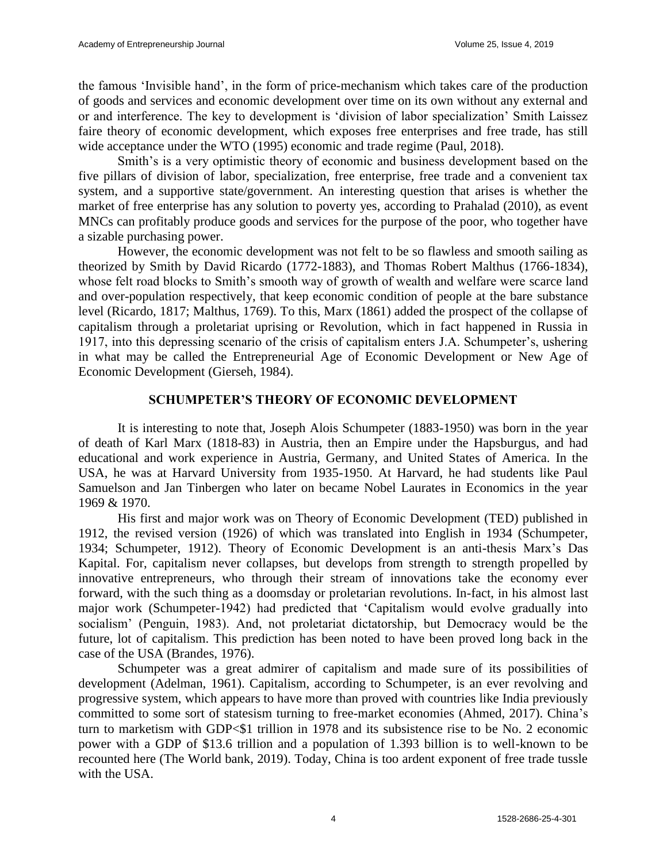the famous 'Invisible hand', in the form of price-mechanism which takes care of the production of goods and services and economic development over time on its own without any external and or and interference. The key to development is 'division of labor specialization' Smith Laissez faire theory of economic development, which exposes free enterprises and free trade, has still wide acceptance under the WTO (1995) economic and trade regime (Paul, 2018).

Smith's is a very optimistic theory of economic and business development based on the five pillars of division of labor, specialization, free enterprise, free trade and a convenient tax system, and a supportive state/government. An interesting question that arises is whether the market of free enterprise has any solution to poverty yes, according to Prahalad (2010), as event MNCs can profitably produce goods and services for the purpose of the poor, who together have a sizable purchasing power.

However, the economic development was not felt to be so flawless and smooth sailing as theorized by Smith by David Ricardo (1772-1883), and Thomas Robert Malthus (1766-1834), whose felt road blocks to Smith's smooth way of growth of wealth and welfare were scarce land and over-population respectively, that keep economic condition of people at the bare substance level (Ricardo, 1817; Malthus, 1769). To this, Marx (1861) added the prospect of the collapse of capitalism through a proletariat uprising or Revolution, which in fact happened in Russia in 1917, into this depressing scenario of the crisis of capitalism enters J.A. Schumpeter's, ushering in what may be called the Entrepreneurial Age of Economic Development or New Age of Economic Development (Gierseh, 1984).

# **SCHUMPETER'S THEORY OF ECONOMIC DEVELOPMENT**

It is interesting to note that, Joseph Alois Schumpeter (1883-1950) was born in the year of death of Karl Marx (1818-83) in Austria, then an Empire under the Hapsburgus, and had educational and work experience in Austria, Germany, and United States of America. In the USA, he was at Harvard University from 1935-1950. At Harvard, he had students like Paul Samuelson and Jan Tinbergen who later on became Nobel Laurates in Economics in the year 1969 & 1970.

His first and major work was on Theory of Economic Development (TED) published in 1912, the revised version (1926) of which was translated into English in 1934 (Schumpeter, 1934; Schumpeter, 1912). Theory of Economic Development is an anti-thesis Marx's Das Kapital. For, capitalism never collapses, but develops from strength to strength propelled by innovative entrepreneurs, who through their stream of innovations take the economy ever forward, with the such thing as a doomsday or proletarian revolutions. In-fact, in his almost last major work (Schumpeter-1942) had predicted that 'Capitalism would evolve gradually into socialism' (Penguin, 1983). And, not proletariat dictatorship, but Democracy would be the future, lot of capitalism. This prediction has been noted to have been proved long back in the case of the USA (Brandes, 1976).

Schumpeter was a great admirer of capitalism and made sure of its possibilities of development (Adelman, 1961). Capitalism, according to Schumpeter, is an ever revolving and progressive system, which appears to have more than proved with countries like India previously committed to some sort of statesism turning to free-market economies (Ahmed, 2017). China's turn to marketism with GDP<\$1 trillion in 1978 and its subsistence rise to be No. 2 economic power with a GDP of \$13.6 trillion and a population of 1.393 billion is to well-known to be recounted here (The World bank, 2019). Today, China is too ardent exponent of free trade tussle with the USA.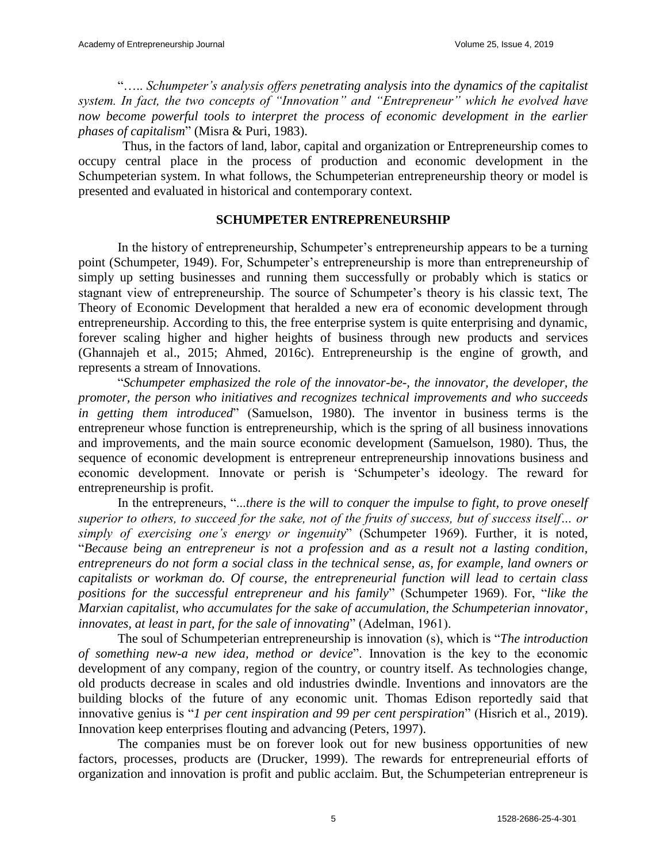"….. *Schumpeter's analysis offers penetrating analysis into the dynamics of the capitalist system. In fact, the two concepts of "Innovation" and "Entrepreneur" which he evolved have now become powerful tools to interpret the process of economic development in the earlier phases of capitalism*" (Misra & Puri, 1983).

Thus, in the factors of land, labor, capital and organization or Entrepreneurship comes to occupy central place in the process of production and economic development in the Schumpeterian system. In what follows, the Schumpeterian entrepreneurship theory or model is presented and evaluated in historical and contemporary context.

## **SCHUMPETER ENTREPRENEURSHIP**

In the history of entrepreneurship, Schumpeter's entrepreneurship appears to be a turning point (Schumpeter, 1949). For, Schumpeter's entrepreneurship is more than entrepreneurship of simply up setting businesses and running them successfully or probably which is statics or stagnant view of entrepreneurship. The source of Schumpeter's theory is his classic text, The Theory of Economic Development that heralded a new era of economic development through entrepreneurship. According to this, the free enterprise system is quite enterprising and dynamic, forever scaling higher and higher heights of business through new products and services (Ghannajeh et al., 2015; Ahmed, 2016c). Entrepreneurship is the engine of growth, and represents a stream of Innovations.

"*Schumpeter emphasized the role of the innovator-be-, the innovator, the developer, the promoter, the person who initiatives and recognizes technical improvements and who succeeds in getting them introduced*" (Samuelson, 1980). The inventor in business terms is the entrepreneur whose function is entrepreneurship, which is the spring of all business innovations and improvements, and the main source economic development (Samuelson, 1980). Thus, the sequence of economic development is entrepreneur entrepreneurship innovations business and economic development. Innovate or perish is 'Schumpeter's ideology. The reward for entrepreneurship is profit.

In the entrepreneurs, "...*there is the will to conquer the impulse to fight, to prove oneself superior to others, to succeed for the sake, not of the fruits of success, but of success itself… or simply of exercising one's energy or ingenuity*" (Schumpeter 1969). Further, it is noted, "*Because being an entrepreneur is not a profession and as a result not a lasting condition, entrepreneurs do not form a social class in the technical sense, as, for example, land owners or capitalists or workman do. Of course, the entrepreneurial function will lead to certain class positions for the successful entrepreneur and his family*" (Schumpeter 1969). For, "*like the Marxian capitalist, who accumulates for the sake of accumulation, the Schumpeterian innovator, innovates, at least in part, for the sale of innovating*" (Adelman, 1961).

The soul of Schumpeterian entrepreneurship is innovation (s), which is "*The introduction of something new-a new idea, method or device*". Innovation is the key to the economic development of any company, region of the country, or country itself. As technologies change, old products decrease in scales and old industries dwindle. Inventions and innovators are the building blocks of the future of any economic unit. Thomas Edison reportedly said that innovative genius is "*1 per cent inspiration and 99 per cent perspiration*" (Hisrich et al., 2019). Innovation keep enterprises flouting and advancing (Peters, 1997).

The companies must be on forever look out for new business opportunities of new factors, processes, products are (Drucker, 1999). The rewards for entrepreneurial efforts of organization and innovation is profit and public acclaim. But, the Schumpeterian entrepreneur is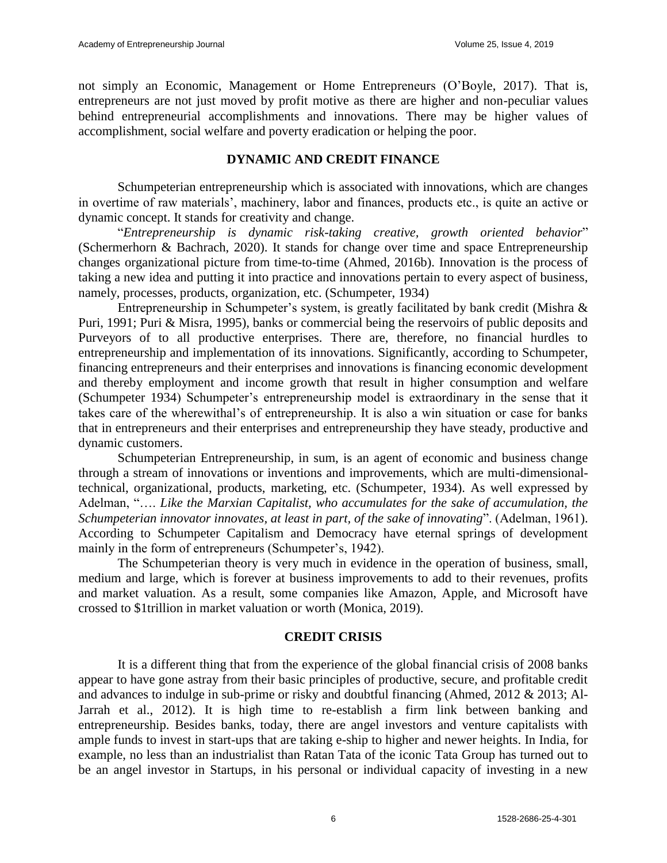not simply an Economic, Management or Home Entrepreneurs (O'Boyle, 2017). That is, entrepreneurs are not just moved by profit motive as there are higher and non-peculiar values behind entrepreneurial accomplishments and innovations. There may be higher values of accomplishment, social welfare and poverty eradication or helping the poor.

# **DYNAMIC AND CREDIT FINANCE**

Schumpeterian entrepreneurship which is associated with innovations, which are changes in overtime of raw materials', machinery, labor and finances, products etc., is quite an active or dynamic concept. It stands for creativity and change.

"*Entrepreneurship is dynamic risk-taking creative, growth oriented behavior*" (Schermerhorn & Bachrach, 2020). It stands for change over time and space Entrepreneurship changes organizational picture from time-to-time (Ahmed, 2016b). Innovation is the process of taking a new idea and putting it into practice and innovations pertain to every aspect of business, namely, processes, products, organization, etc. (Schumpeter, 1934)

Entrepreneurship in Schumpeter's system, is greatly facilitated by bank credit (Mishra & Puri, 1991; Puri & Misra, 1995), banks or commercial being the reservoirs of public deposits and Purveyors of to all productive enterprises. There are, therefore, no financial hurdles to entrepreneurship and implementation of its innovations. Significantly, according to Schumpeter, financing entrepreneurs and their enterprises and innovations is financing economic development and thereby employment and income growth that result in higher consumption and welfare (Schumpeter 1934) Schumpeter's entrepreneurship model is extraordinary in the sense that it takes care of the wherewithal's of entrepreneurship. It is also a win situation or case for banks that in entrepreneurs and their enterprises and entrepreneurship they have steady, productive and dynamic customers.

Schumpeterian Entrepreneurship, in sum, is an agent of economic and business change through a stream of innovations or inventions and improvements, which are multi-dimensionaltechnical, organizational, products, marketing, etc. (Schumpeter, 1934). As well expressed by Adelman, "…. *Like the Marxian Capitalist, who accumulates for the sake of accumulation, the Schumpeterian innovator innovates, at least in part, of the sake of innovating*". (Adelman, 1961). According to Schumpeter Capitalism and Democracy have eternal springs of development mainly in the form of entrepreneurs (Schumpeter's, 1942).

The Schumpeterian theory is very much in evidence in the operation of business, small, medium and large, which is forever at business improvements to add to their revenues, profits and market valuation. As a result, some companies like Amazon, Apple, and Microsoft have crossed to \$1trillion in market valuation or worth (Monica, 2019).

# **CREDIT CRISIS**

It is a different thing that from the experience of the global financial crisis of 2008 banks appear to have gone astray from their basic principles of productive, secure, and profitable credit and advances to indulge in sub-prime or risky and doubtful financing (Ahmed, 2012 & 2013; Al-Jarrah et al., 2012). It is high time to re-establish a firm link between banking and entrepreneurship. Besides banks, today, there are angel investors and venture capitalists with ample funds to invest in start-ups that are taking e-ship to higher and newer heights. In India, for example, no less than an industrialist than Ratan Tata of the iconic Tata Group has turned out to be an angel investor in Startups, in his personal or individual capacity of investing in a new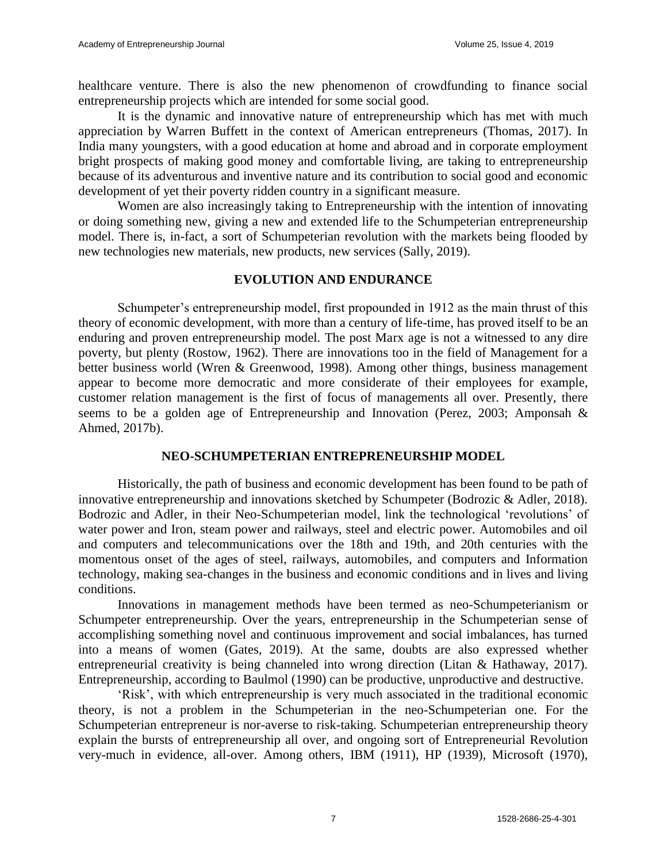healthcare venture. There is also the new phenomenon of crowdfunding to finance social entrepreneurship projects which are intended for some social good.

It is the dynamic and innovative nature of entrepreneurship which has met with much appreciation by Warren Buffett in the context of American entrepreneurs (Thomas, 2017). In India many youngsters, with a good education at home and abroad and in corporate employment bright prospects of making good money and comfortable living, are taking to entrepreneurship because of its adventurous and inventive nature and its contribution to social good and economic development of yet their poverty ridden country in a significant measure.

Women are also increasingly taking to Entrepreneurship with the intention of innovating or doing something new, giving a new and extended life to the Schumpeterian entrepreneurship model. There is, in-fact, a sort of Schumpeterian revolution with the markets being flooded by new technologies new materials, new products, new services (Sally, 2019).

# **EVOLUTION AND ENDURANCE**

Schumpeter's entrepreneurship model, first propounded in 1912 as the main thrust of this theory of economic development, with more than a century of life-time, has proved itself to be an enduring and proven entrepreneurship model. The post Marx age is not a witnessed to any dire poverty, but plenty (Rostow, 1962). There are innovations too in the field of Management for a better business world (Wren & Greenwood, 1998). Among other things, business management appear to become more democratic and more considerate of their employees for example, customer relation management is the first of focus of managements all over. Presently, there seems to be a golden age of Entrepreneurship and Innovation (Perez, 2003; Amponsah & Ahmed, 2017b).

# **NEO-SCHUMPETERIAN ENTREPRENEURSHIP MODEL**

Historically, the path of business and economic development has been found to be path of innovative entrepreneurship and innovations sketched by Schumpeter (Bodrozic & Adler, 2018). Bodrozic and Adler, in their Neo-Schumpeterian model, link the technological 'revolutions' of water power and Iron, steam power and railways, steel and electric power. Automobiles and oil and computers and telecommunications over the 18th and 19th, and 20th centuries with the momentous onset of the ages of steel, railways, automobiles, and computers and Information technology, making sea-changes in the business and economic conditions and in lives and living conditions.

Innovations in management methods have been termed as neo-Schumpeterianism or Schumpeter entrepreneurship. Over the years, entrepreneurship in the Schumpeterian sense of accomplishing something novel and continuous improvement and social imbalances, has turned into a means of women (Gates, 2019). At the same, doubts are also expressed whether entrepreneurial creativity is being channeled into wrong direction (Litan & Hathaway, 2017). Entrepreneurship, according to Baulmol (1990) can be productive, unproductive and destructive.

'Risk', with which entrepreneurship is very much associated in the traditional economic theory, is not a problem in the Schumpeterian in the neo-Schumpeterian one. For the Schumpeterian entrepreneur is nor-averse to risk-taking. Schumpeterian entrepreneurship theory explain the bursts of entrepreneurship all over, and ongoing sort of Entrepreneurial Revolution very-much in evidence, all-over. Among others, IBM (1911), HP (1939), Microsoft (1970),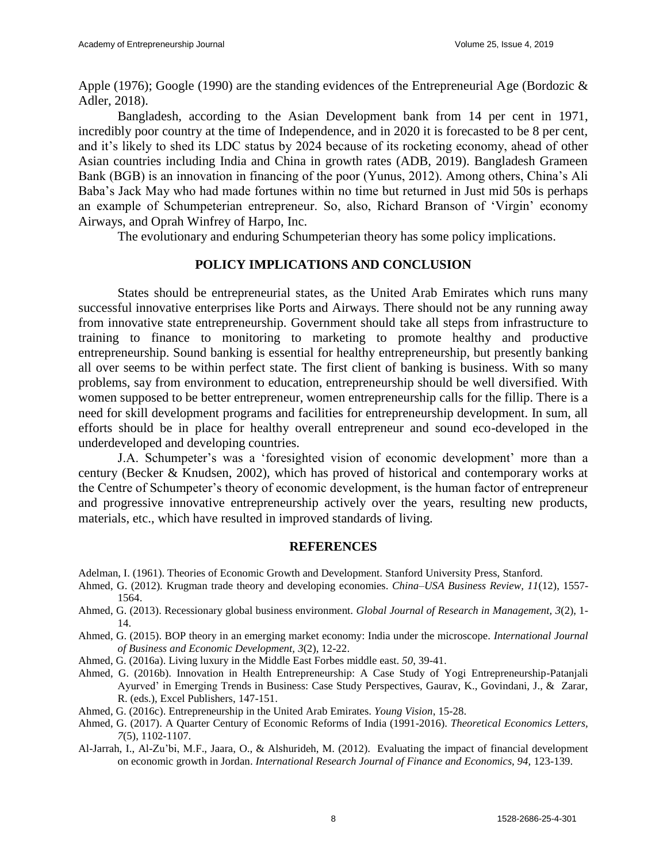Apple (1976); Google (1990) are the standing evidences of the Entrepreneurial Age (Bordozic  $\&$ Adler, 2018).

Bangladesh, according to the Asian Development bank from 14 per cent in 1971, incredibly poor country at the time of Independence, and in 2020 it is forecasted to be 8 per cent, and it's likely to shed its LDC status by 2024 because of its rocketing economy, ahead of other Asian countries including India and China in growth rates (ADB, 2019). Bangladesh Grameen Bank (BGB) is an innovation in financing of the poor (Yunus, 2012). Among others, China's Ali Baba's Jack May who had made fortunes within no time but returned in Just mid 50s is perhaps an example of Schumpeterian entrepreneur. So, also, Richard Branson of 'Virgin' economy Airways, and Oprah Winfrey of Harpo, Inc.

The evolutionary and enduring Schumpeterian theory has some policy implications.

## **POLICY IMPLICATIONS AND CONCLUSION**

States should be entrepreneurial states, as the United Arab Emirates which runs many successful innovative enterprises like Ports and Airways. There should not be any running away from innovative state entrepreneurship. Government should take all steps from infrastructure to training to finance to monitoring to marketing to promote healthy and productive entrepreneurship. Sound banking is essential for healthy entrepreneurship, but presently banking all over seems to be within perfect state. The first client of banking is business. With so many problems, say from environment to education, entrepreneurship should be well diversified. With women supposed to be better entrepreneur, women entrepreneurship calls for the fillip. There is a need for skill development programs and facilities for entrepreneurship development. In sum, all efforts should be in place for healthy overall entrepreneur and sound eco-developed in the underdeveloped and developing countries.

J.A. Schumpeter's was a 'foresighted vision of economic development' more than a century (Becker & Knudsen, 2002), which has proved of historical and contemporary works at the Centre of Schumpeter's theory of economic development, is the human factor of entrepreneur and progressive innovative entrepreneurship actively over the years, resulting new products, materials, etc., which have resulted in improved standards of living.

#### **REFERENCES**

- Adelman, I. (1961). Theories of Economic Growth and Development. Stanford University Press, Stanford.
- Ahmed, G. (2012). Krugman trade theory and developing economies. *China–USA Business Review, 11*(12), 1557- 1564.
- Ahmed, G. (2013). Recessionary global business environment. *Global Journal of Research in Management, 3*(2), 1- 14.
- Ahmed, G. (2015). BOP theory in an emerging market economy: India under the microscope. *International Journal of Business and Economic Development, 3*(2), 12-22.
- Ahmed, G. (2016a). Living luxury in the Middle East Forbes middle east. *50*, 39-41.
- Ahmed, G. (2016b). Innovation in Health Entrepreneurship: A Case Study of Yogi Entrepreneurship-Patanjali Ayurved' in Emerging Trends in Business: Case Study Perspectives, Gaurav, K., Govindani, J., & Zarar, R. (eds.), Excel Publishers, 147-151.
- Ahmed, G. (2016c). Entrepreneurship in the United Arab Emirates. *Young Vision*, 15-28.
- Ahmed, G. (2017). A Quarter Century of Economic Reforms of India (1991-2016). *Theoretical Economics Letters, 7*(5), 1102-1107.
- Al-Jarrah, I., Al-Zu'bi, M.F., Jaara, O., & Alshurideh, M. (2012). Evaluating the impact of financial development on economic growth in Jordan. *International Research Journal of Finance and Economics, 94,* 123-139.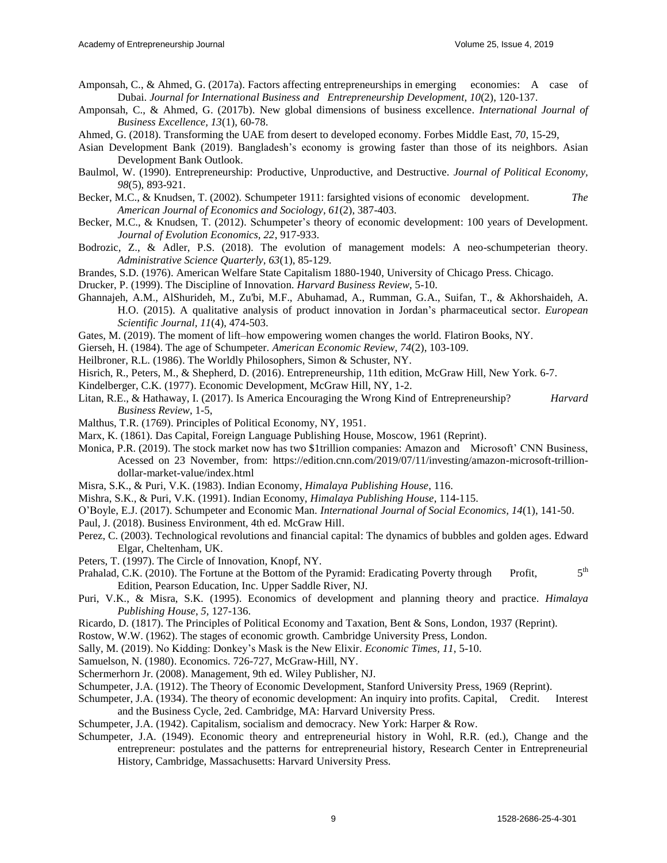- Amponsah, C., & Ahmed, G. (2017a). Factors affecting entrepreneurships in emerging economies: A case of Dubai. *Journal for International Business and Entrepreneurship Development, 10*(2), 120-137.
- Amponsah, C., & Ahmed, G. (2017b). New global dimensions of business excellence. *International Journal of Business Excellence, 13*(1), 60-78.
- Ahmed, G. (2018). Transforming the UAE from desert to developed economy. Forbes Middle East, *70*, 15-29,
- Asian Development Bank (2019). Bangladesh's economy is growing faster than those of its neighbors. Asian Development Bank Outlook.
- Baulmol, W. (1990). Entrepreneurship: Productive, Unproductive, and Destructive. *Journal of Political Economy, 98*(5), 893-921.
- Becker, M.C., & Knudsen, T. (2002). Schumpeter 1911: farsighted visions of economic development. *The American Journal of Economics and Sociology, 61*(2), 387-403.
- Becker, M.C., & Knudsen, T. (2012). Schumpeter's theory of economic development: 100 years of Development. *Journal of Evolution Economics, 22*, 917-933.
- Bodrozic, Z., & Adler, P.S. (2018). The evolution of management models: A neo-schumpeterian theory. *Administrative Science Quarterly, 63*(1), 85-129.
- Brandes, S.D. (1976). American Welfare State Capitalism 1880-1940, University of Chicago Press. Chicago.
- Drucker, P. (1999). The Discipline of Innovation. *Harvard Business Review*, 5-10.
- Ghannajeh, A.M., AlShurideh, M., Zu'bi, M.F., Abuhamad, A., Rumman, G.A., Suifan, T., & Akhorshaideh, A. H.O. (2015). A qualitative analysis of product innovation in Jordan's pharmaceutical sector. *European Scientific Journal, 11*(4), 474-503.
- Gates, M. (2019). The moment of lift–how empowering women changes the world. Flatiron Books, NY.
- Gierseh, H. (1984). The age of Schumpeter. *American Economic Review, 74*(2), 103-109.
- Heilbroner, R.L. (1986). The Worldly Philosophers, Simon & Schuster, NY.
- Hisrich, R., Peters, M., & Shepherd, D. (2016). Entrepreneurship, 11th edition, McGraw Hill, New York. 6-7.
- Kindelberger, C.K. (1977). Economic Development, McGraw Hill, NY, 1-2.
- Litan, R.E., & Hathaway, I. (2017). Is America Encouraging the Wrong Kind of Entrepreneurship? *Harvard Business Review*, 1-5,
- Malthus, T.R. (1769). Principles of Political Economy, NY, 1951.
- Marx, K. (1861). Das Capital, Foreign Language Publishing House, Moscow, 1961 (Reprint).
- Monica, P.R. (2019). The stock market now has two \$1trillion companies: Amazon and Microsoft' CNN Business, Acessed on 23 November, from: https://edition.cnn.com/2019/07/11/investing/amazon-microsoft-trilliondollar-market-value/index.html
- Misra, S.K., & Puri, V.K. (1983). Indian Economy, *Himalaya Publishing House*, 116.
- Mishra, S.K., & Puri, V.K. (1991). Indian Economy, *Himalaya Publishing House*, 114-115.
- O'Boyle, E.J. (2017). Schumpeter and Economic Man. *International Journal of Social Economics, 14*(1), 141-50.
- Paul, J. (2018). Business Environment, 4th ed. McGraw Hill.
- Perez, C. (2003). Technological revolutions and financial capital: The dynamics of bubbles and golden ages. Edward Elgar, Cheltenham, UK.
- Peters, T. (1997). The Circle of Innovation, Knopf, NY.
- Prahalad, C.K. (2010). The Fortune at the Bottom of the Pyramid: Eradicating Poverty through Profit,  $5<sup>th</sup>$ Edition, Pearson Education, Inc. Upper Saddle River, NJ.
- Puri, V.K., & Misra, S.K. (1995). Economics of development and planning theory and practice. *Himalaya Publishing House*, *5,* 127-136.
- Ricardo, D. (1817). The Principles of Political Economy and Taxation, Bent & Sons, London, 1937 (Reprint).
- Rostow, W.W. (1962). The stages of economic growth. Cambridge University Press, London.
- Sally, M. (2019). No Kidding: Donkey's Mask is the New Elixir. *Economic Times, 11*, 5-10.
- Samuelson, N. (1980). Economics. 726-727, McGraw-Hill, NY.
- Schermerhorn Jr. (2008). Management, 9th ed. Wiley Publisher, NJ.
- Schumpeter, J.A. (1912). The Theory of Economic Development, Stanford University Press, 1969 (Reprint).
- Schumpeter, J.A. (1934). The theory of economic development: An inquiry into profits. Capital, Credit. Interest and the Business Cycle, 2ed. Cambridge, MA: Harvard University Press.
- Schumpeter, J.A. (1942). Capitalism, socialism and democracy. New York: Harper & Row.
- Schumpeter, J.A. (1949). Economic theory and entrepreneurial history in Wohl, R.R. (ed.), Change and the entrepreneur: postulates and the patterns for entrepreneurial history, Research Center in Entrepreneurial History, Cambridge, Massachusetts: Harvard University Press.